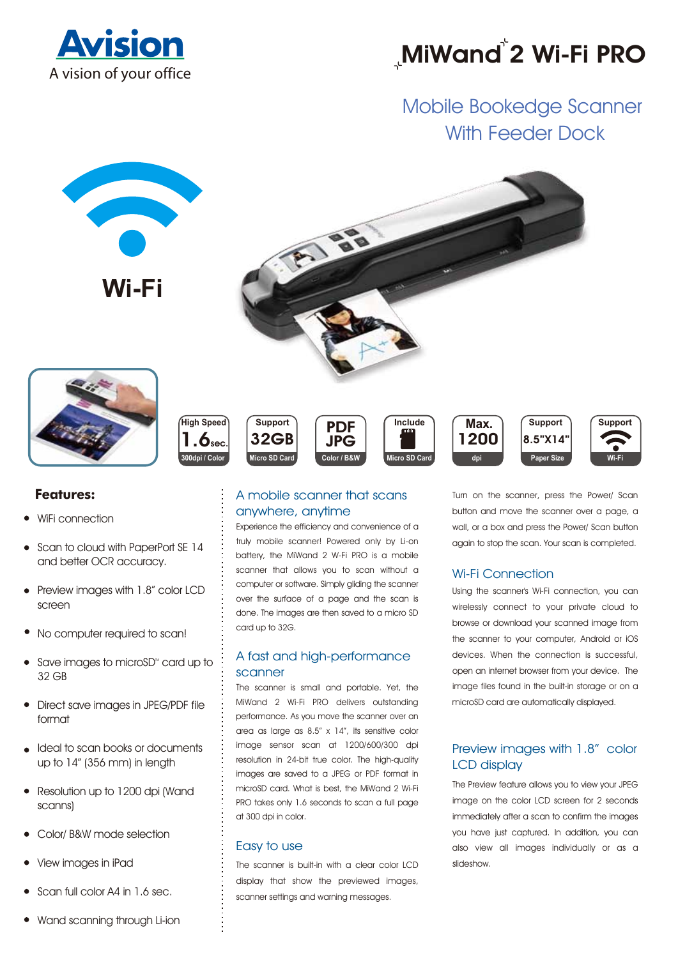

# **MiWand 2 Wi-Fi PRO**

# Mobile Bookedge Scanner With Feeder Dock



- Scan to cloud with PaperPort SE 14 and better OCR accuracy.
- Preview images with 1.8" color LCD screen
- No computer required to scan!
- Save images to microSD<sup>®</sup> card up to 32 GB
- Direct save images in JPEG/PDF file format
- Ideal to scan books or documents up to 14" (356 mm) in length
- Resolution up to 1200 dpi (Wand scanns)
- Color/ B&W mode selection
- View images in iPad
- Scan full color A4 in 1.6 sec.
- Wand scanning through Li-ion

Experience the efficiency and convenience of a truly mobile scanner! Powered only by Li-on battery, the MiWand 2 W-Fi PRO is a mobile scanner that allows you to scan without a computer or software. Simply gliding the scanner over the surface of a page and the scan is done. The images are then saved to a micro SD card up to 32G.

# A fast and high-performance scanner

The scanner is small and portable. Yet, the MiWand 2 Wi-Fi PRO delivers outstanding performance. As you move the scanner over an area as large as 8.5" x 14", its sensitive color image sensor scan at 1200/600/300 dpi resolution in 24-bit true color. The high-quality images are saved to a JPEG or PDF format in microSD card. What is best, the MiWand 2 Wi-Fi PRO takes only 1.6 seconds to scan a full page at 300 dpi in color.

# Easy to use

The scanner is built-in with a clear color LCD display that show the previewed images, scanner settings and warning messages.

button and move the scanner over a page, a wall, or a box and press the Power/ Scan button again to stop the scan. Your scan is completed.

**Support**

**Wi-Fi**

# Wi-Fi Connection

Using the scanner's Wi-Fi connection, you can wirelessly connect to your private cloud to browse or download your scanned image from the scanner to your computer, Android or iOS devices. When the connection is successful, open an internet browser from your device. The image files found in the built-in storage or on a microSD card are automatically displayed.

# Preview images with 1.8" color LCD display

The Preview feature allows you to view your JPEG image on the color LCD screen for 2 seconds immediately after a scan to confirm the images you have just captured. In addition, you can also view all images individually or as a slideshow.